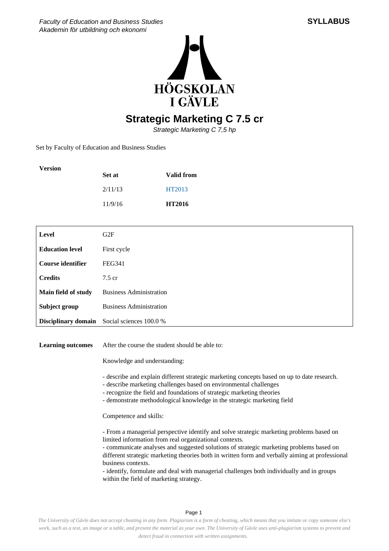



## **Strategic Marketing C 7.5 cr**

Strategic Marketing C 7,5 hp

Set by Faculty of Education and Business Studies

| Version | Set at  | <b>Valid from</b> |
|---------|---------|-------------------|
|         | 2/11/13 | HT2013            |
|         | 11/9/16 | <b>HT2016</b>     |

| Level                  | G2F                            |
|------------------------|--------------------------------|
| <b>Education level</b> | First cycle                    |
| Course identifier      | FEG341                         |
| <b>Credits</b>         | $7.5 \text{ cr}$               |
| Main field of study    | <b>Business Administration</b> |
| Subject group          | <b>Business Administration</b> |
| Disciplinary domain    | Social sciences 100.0 %        |

Learning outcomes After the course the student should be able to:

Knowledge and understanding:

- describe and explain different strategic marketing concepts based on up to date research.

- describe marketing challenges based on environmental challenges
- recognize the field and foundations of strategic marketing theories
- demonstrate methodological knowledge in the strategic marketing field

Competence and skills:

- From a managerial perspective identify and solve strategic marketing problems based on limited information from real organizational contexts.

- communicate analyses and suggested solutions of strategic marketing problems based on different strategic marketing theories both in written form and verbally aiming at professional business contexts.

- identify, formulate and deal with managerial challenges both individually and in groups within the field of marketing strategy.

Page 1

*The University of Gävle does not accept cheating in any form. Plagiarism is a form of cheating, which means that you imitate or copy someone else's work, such as a text, an image or a table, and present the material as your own. The University of Gävle uses anti-plagiarism systems to prevent and detect fraud in connection with written assignments.*